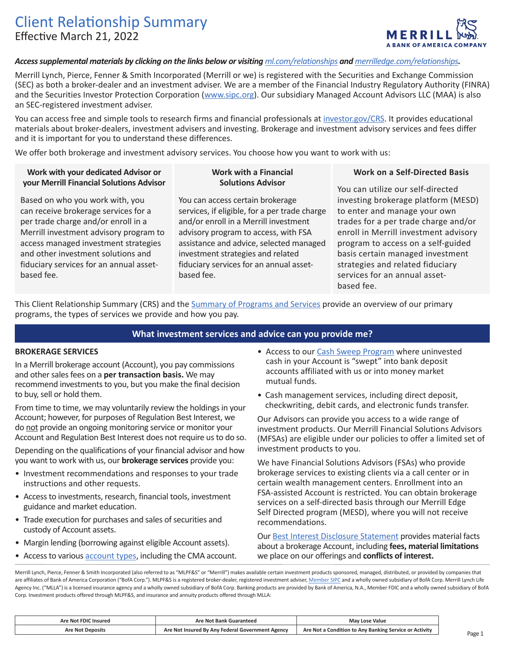# Client Relationship Summary Effective March 21, 2022



## *Access supplemental materials by clicking on the links below or visiting [ml.com/relationships](https://www.ml.com/relationships) and [merrilledge.com/relationships](https://merrilledge.com/relationships).*

Merrill Lynch, Pierce, Fenner & Smith Incorporated (Merrill or we) is registered with the Securities and Exchange Commission (SEC) as both a broker-dealer and an investment adviser. We are a member of the Financial Industry Regulatory Authority (FINRA) and the Securities Investor Protection Corporation ([www.sipc.org](http://www.sipc.org/)). Our subsidiary Managed Account Advisors LLC (MAA) is also an SEC-registered investment adviser.

You can access free and simple tools to research firms and financial professionals at [investor.gov/CRS](http://investor.gov/CRS). It provides educational materials about broker-dealers, investment advisers and investing. Brokerage and investment advisory services and fees differ and it is important for you to understand these differences.

We offer both brokerage and investment advisory services. You choose how you want to work with us:

## **Work with your dedicated Advisor or your Merrill Financial Solutions Advisor**

Based on who you work with, you can receive brokerage services for a per trade charge and/or enroll in a Merrill investment advisory program to access managed investment strategies and other investment solutions and fiduciary services for an annual assetbased fee.

#### **Work with a Financial Solutions Advisor**

You can access certain brokerage services, if eligible, for a per trade charge and/or enroll in a Merrill investment advisory program to access, with FSA assistance and advice, selected managed investment strategies and related fiduciary services for an annual assetbased fee.

### **Work on a Self-Directed Basis**

You can utilize our self-directed investing brokerage platform (MESD) to enter and manage your own trades for a per trade charge and/or enroll in Merrill investment advisory program to access on a self-guided basis certain managed investment strategies and related fiduciary services for an annual assetbased fee.

This Client Relationship Summary (CRS) and the [Summary of Programs and Services](https://olui2.fs.ml.com/Publish/Content/application/pdf/GWMOL/summary-programs-services.pdf) provide an overview of our primary programs, the types of services we provide and how you pay.

## **What investment services and advice can you provide me?**

#### **BROKERAGE SERVICES**

In a Merrill brokerage account (Account), you pay commissions and other sales fees on a **per transaction basis.** We may recommend investments to you, but you make the final decision to buy, sell or hold them.

From time to time, we may voluntarily review the holdings in your Account; however, for purposes of Regulation Best Interest, we do not provide an ongoing monitoring service or monitor your Account and Regulation Best Interest does not require us to do so.

Depending on the qualifications of your financial advisor and how you want to work with us, our **brokerage services** provide you:

- Investment recommendations and responses to your trade instructions and other requests.
- • Access to investments, research, financial tools, investment guidance and market education.
- • Trade execution for purchases and sales of securities and custody of Account assets.
- Margin lending (borrowing against eligible Account assets).
- Access to various **account types**, including the CMA account.
- Access to our [Cash Sweep Program](https://olui2.fspl1.ml.com/publish/content/application/pdf/GWMOL/Sweep-Program.pdf) where uninvested cash in your Account is "swept" into bank deposit accounts affiliated with us or into money market mutual funds.
- • Cash management services, including direct deposit, checkwriting, debit cards, and electronic funds transfer.

Our Advisors can provide you access to a wide range of investment products. Our Merrill Financial Solutions Advisors (MFSAs) are eligible under our policies to offer a limited set of investment products to you.

We have Financial Solutions Advisors (FSAs) who provide brokerage services to existing clients via a call center or in certain wealth management centers. Enrollment into an FSA-assisted Account is restricted. You can obtain brokerage services on a self-directed basis through our Merrill Edge Self Directed program (MESD), where you will not receive recommendations.

Our [Best Interest Disclosure Statement](https://olui2.fs.ml.com/publish/content/application/pdf/GWMOL/Regulation-Best-Interest-Disclosure-Statement_RBIDISC.pdf) provides material facts about a brokerage Account, including **fees, material limitations**  we place on our offerings and **conflicts of interest.** 

Merrill Lynch, Pierce, Fenner & Smith Incorporated (also referred to as "MLPF&S" or "Merrill") makes available certain investment products sponsored, managed, distributed, or provided by companies that are affiliates of Bank of America Corporation ("BofA Corp."). MLPF&S is a registered broker-dealer, registered investment adviser, <u>[Member SIPC](https://www.sipc.org/)</u> and a wholly owned subsidiary of BofA Corp. Merrill Lynch Life Agency Inc. ("MLLA") is a licensed insurance agency and a wholly owned subsidiary of BofA Corp. Banking products are provided by Bank of America, N.A., Member FDIC and a wholly owned subsidiary of BofA Corp. Investment products offered through MLPF&S, and insurance and annuity products offered through MLLA: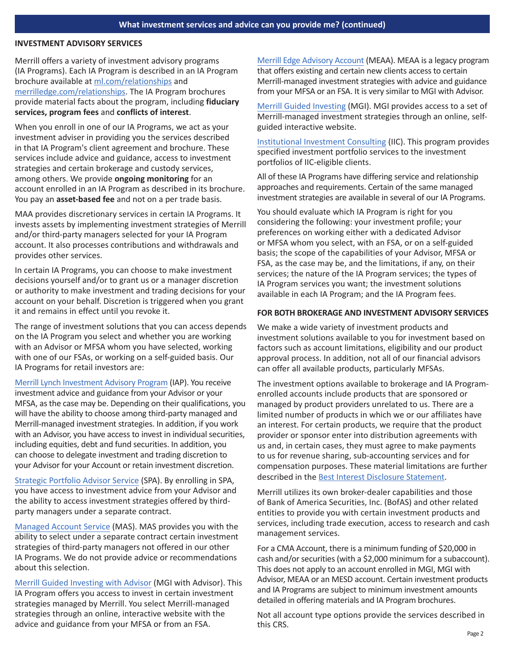#### **INVESTMENT ADVISORY SERVICES**

Merrill offers a variety of investment advisory programs (IA Programs). Each IA Program is described in an IA Program brochure available at [ml.com/relationships](https://www.ml.com/relationships) and [merrilledge.com/relationships](https://merrilledge.com/relationships). The IA Program brochures provide material facts about the program, including **fiduciary services, program fees** and **conflicts of interest**.

When you enroll in one of our IA Programs, we act as your investment adviser in providing you the services described in that IA Program's client agreement and brochure. These services include advice and guidance, access to investment strategies and certain brokerage and custody services, among others. We provide **ongoing monitoring** for an account enrolled in an IA Program as described in its brochure. You pay an **asset-based fee** and not on a per trade basis.

MAA provides discretionary services in certain IA Programs. It invests assets by implementing investment strategies of Merrill and/or third-party managers selected for your IA Program account. It also processes contributions and withdrawals and provides other services.

In certain IA Programs, you can choose to make investment decisions yourself and/or to grant us or a manager discretion or authority to make investment and trading decisions for your account on your behalf. Discretion is triggered when you grant it and remains in effect until you revoke it.

The range of investment solutions that you can access depends on the IA Program you select and whether you are working with an Advisor or MFSA whom you have selected, working with one of our FSAs, or working on a self-guided basis. Our IA Programs for retail investors are:

[Merrill Lynch Investment Advisory Program](https://olui2.fs.ml.com/Publish/Content/application/pdf/GWMOL/mliap-wrap-fee-program-brochure-adv2a.pdf) (IAP). You receive investment advice and guidance from your Advisor or your MFSA, as the case may be. Depending on their qualifications, you will have the ability to choose among third-party managed and Merrill-managed investment strategies. In addition, if you work with an Advisor, you have access to invest in individual securities, including equities, debt and fund securities. In addition, you can choose to delegate investment and trading discretion to your Advisor for your Account or retain investment discretion.

[Strategic Portfolio Advisor Service](https://mlaem.fs.ml.com/content/dam/ML/pdfs/SPA-ADV.PDF) (SPA). By enrolling in SPA, you have access to investment advice from your Advisor and the ability to access investment strategies offered by thirdparty managers under a separate contract.

[Managed Account Service](https://mlaem.fs.ml.com/content/dam/ML/pdfs/MAS-ADV.PDF) (MAS). MAS provides you with the ability to select under a separate contract certain investment strategies of third-party managers not offered in our other IA Programs. We do not provide advice or recommendations about this selection.

[Merrill Guided Investing with Advisor](https://olui2.fs.ml.com/publish/content/application/pdf/gwmol/guided-investing-program-brochure.pdf) (MGI with Advisor). This IA Program offers you access to invest in certain investment strategies managed by Merrill. You select Merrill-managed strategies through an online, interactive website with the advice and guidance from your MFSA or from an FSA.

[Merrill Edge Advisory Account](https://olui2.fs.ml.com/publish/content/application/pdf/gwmol/me_advisory_account_disclosure_form_adv_2a.pdf) (MEAA). MEAA is a legacy program that offers existing and certain new clients access to certain Merrill-managed investment strategies with advice and guidance from your MFSA or an FSA. It is very similar to MGI with Advisor.

[Merrill Guided Investing](https://olui2.fs.ml.com/publish/content/application/pdf/gwmol/merrill-edge-guided-investing-program-brochure.pdf) (MGI). MGI provides access to a set of Merrill-managed investment strategies through an online, selfguided interactive website.

[Institutional Investment Consulting](https://mlaem.fs.ml.com/content/dam/ML/pdfs/IIC-ADV-2A_03-23-20_FINAL_ADA.pdf) (IIC). This program provides specified investment portfolio services to the investment portfolios of IIC-eligible clients.

All of these IA Programs have differing service and relationship approaches and requirements. Certain of the same managed investment strategies are available in several of our IA Programs.

You should evaluate which IA Program is right for you considering the following: your investment profile; your preferences on working either with a dedicated Advisor or MFSA whom you select, with an FSA, or on a self-guided basis; the scope of the capabilities of your Advisor, MFSA or FSA, as the case may be, and the limitations, if any, on their services; the nature of the IA Program services; the types of IA Program services you want; the investment solutions available in each IA Program; and the IA Program fees.

#### **FOR BOTH BROKERAGE AND INVESTMENT ADVISORY SERVICES**

We make a wide variety of investment products and investment solutions available to you for investment based on factors such as account limitations, eligibility and our product approval process. In addition, not all of our financial advisors can offer all available products, particularly MFSAs.

The investment options available to brokerage and IA Programenrolled accounts include products that are sponsored or managed by product providers unrelated to us. There are a limited number of products in which we or our affiliates have an interest. For certain products, we require that the product provider or sponsor enter into distribution agreements with us and, in certain cases, they must agree to make payments to us for revenue sharing, sub-accounting services and for compensation purposes. These material limitations are further described in the [Best Interest Disclosure Statement](https://olui2.fs.ml.com/publish/content/application/pdf/GWMOL/Regulation-Best-Interest-Disclosure-Statement_RBIDISC.pdf).

Merrill utilizes its own broker-dealer capabilities and those of Bank of America Securities, Inc. (BofAS) and other related entities to provide you with certain investment products and services, including trade execution, access to research and cash management services.

For a CMA Account, there is a minimum funding of \$20,000 in cash and/or securities (with a \$2,000 minimum for a subaccount). This does not apply to an account enrolled in MGI, MGI with Advisor, MEAA or an MESD account. Certain investment products and IA Programs are subject to minimum investment amounts detailed in offering materials and IA Program brochures.

Not all account type options provide the services described in this CRS.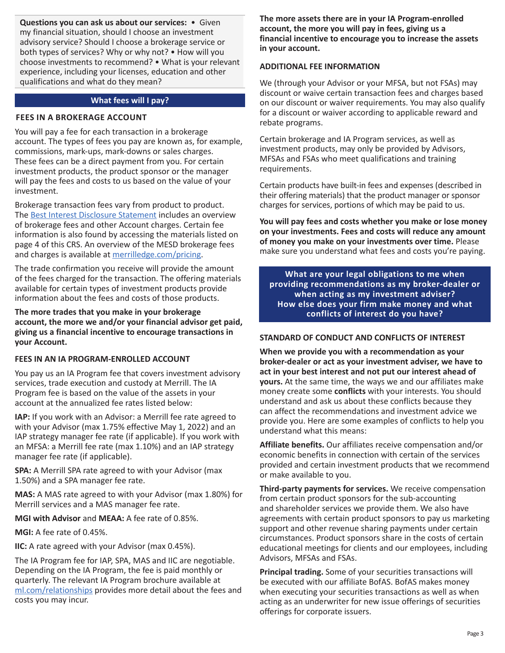**Questions you can ask us about our services:** • Given my financial situation, should I choose an investment advisory service? Should I choose a brokerage service or both types of services? Why or why not? • How will you choose investments to recommend? • What is your relevant experience, including your licenses, education and other qualifications and what do they mean?

## **What fees will I pay?**

### **FEES IN A BROKERAGE ACCOUNT**

You will pay a fee for each transaction in a brokerage account. The types of fees you pay are known as, for example, commissions, mark-ups, mark-downs or sales charges. These fees can be a direct payment from you. For certain investment products, the product sponsor or the manager will pay the fees and costs to us based on the value of your investment.

Brokerage transaction fees vary from product to product. The [Best Interest Disclosure Statement](https://olui2.fs.ml.com/publish/content/application/pdf/GWMOL/Regulation-Best-Interest-Disclosure-Statement_RBIDISC.pdf) includes an overview of brokerage fees and other Account charges. Certain fee information is also found by accessing the materials listed on page 4 of this CRS. An overview of the MESD brokerage fees and charges is available at [merrilledge.com/pricing.](https://www.merrilledge.com/pricing)

The trade confirmation you receive will provide the amount of the fees charged for the transaction. The offering materials available for certain types of investment products provide information about the fees and costs of those products.

**The more trades that you make in your brokerage account, the more we and/or your financial advisor get paid, giving us a financial incentive to encourage transactions in your Account.** 

### **FEES IN AN IA PROGRAM-ENROLLED ACCOUNT**

You pay us an IA Program fee that covers investment advisory services, trade execution and custody at Merrill. The IA Program fee is based on the value of the assets in your account at the annualized fee rates listed below:

**IAP:** If you work with an Advisor: a Merrill fee rate agreed to with your Advisor (max 1.75% effective May 1, 2022) and an IAP strategy manager fee rate (if applicable). If you work with an MFSA: a Merrill fee rate (max 1.10%) and an IAP strategy manager fee rate (if applicable).

**SPA:** A Merrill SPA rate agreed to with your Advisor (max 1.50%) and a SPA manager fee rate.

**MAS:** A MAS rate agreed to with your Advisor (max 1.80%) for Merrill services and a MAS manager fee rate.

**MGI with Advisor** and **MEAA:** A fee rate of 0.85%.

**MGI:** A fee rate of 0.45%.

**IIC:** A rate agreed with your Advisor (max 0.45%).

The IA Program fee for IAP, SPA, MAS and IIC are negotiable. Depending on the IA Program, the fee is paid monthly or quarterly. The relevant IA Program brochure available at [ml.com/relationships](https://www.merrilledge.com/pricing) provides more detail about the fees and costs you may incur.

**The more assets there are in your IA Program-enrolled account, the more you will pay in fees, giving us a financial incentive to encourage you to increase the assets in your account.** 

# **ADDITIONAL FEE INFORMATION**

We (through your Advisor or your MFSA, but not FSAs) may discount or waive certain transaction fees and charges based on our discount or waiver requirements. You may also qualify for a discount or waiver according to applicable reward and rebate programs.

Certain brokerage and IA Program services, as well as investment products, may only be provided by Advisors, MFSAs and FSAs who meet qualifications and training requirements.

Certain products have built-in fees and expenses (described in their offering materials) that the product manager or sponsor charges for services, portions of which may be paid to us.

**You will pay fees and costs whether you make or lose money on your investments. Fees and costs will reduce any amount of money you make on your investments over time.** Please make sure you understand what fees and costs you're paying.

**What are your legal obligations to me when providing recommendations as my broker-dealer or when acting as my investment adviser? How else does your firm make money and what conflicts of interest do you have?** 

# **STANDARD OF CONDUCT AND CONFLICTS OF INTEREST**

**When we provide you with a recommendation as your broker-dealer or act as your investment adviser, we have to act in your best interest and not put our interest ahead of yours.** At the same time, the ways we and our affiliates make money create some **conflicts** with your interests. You should understand and ask us about these conflicts because they can affect the recommendations and investment advice we provide you. Here are some examples of conflicts to help you understand what this means:

**Affiliate benefits.** Our affiliates receive compensation and/or economic benefits in connection with certain of the services provided and certain investment products that we recommend or make available to you.

**Third-party payments for services.** We receive compensation from certain product sponsors for the sub-accounting and shareholder services we provide them. We also have agreements with certain product sponsors to pay us marketing support and other revenue sharing payments under certain circumstances. Product sponsors share in the costs of certain educational meetings for clients and our employees, including Advisors, MFSAs and FSAs.

**Principal trading.** Some of your securities transactions will be executed with our affiliate BofAS. BofAS makes money when executing your securities transactions as well as when acting as an underwriter for new issue offerings of securities offerings for corporate issuers.